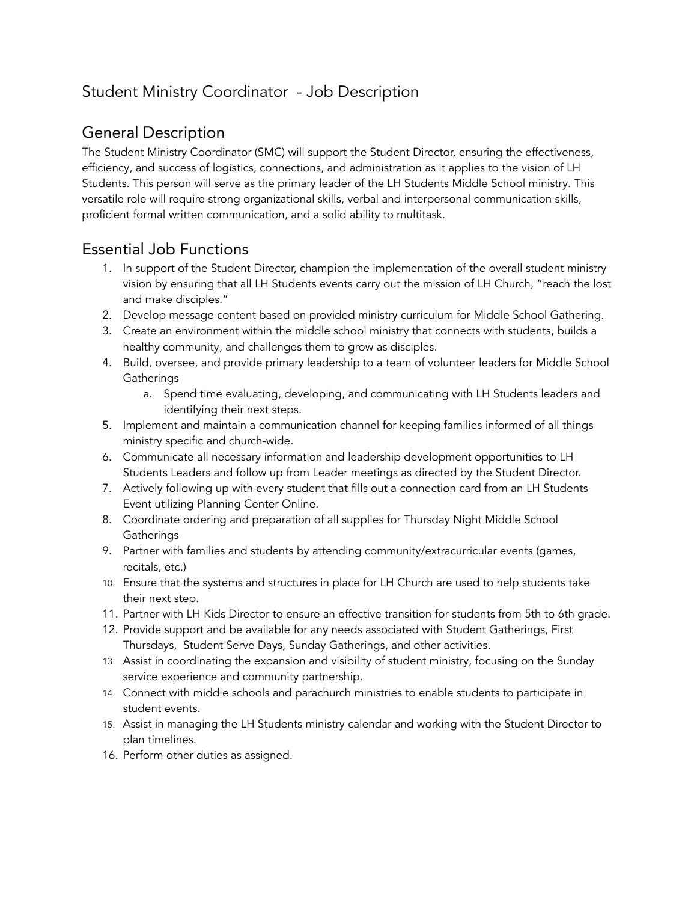# Student Ministry Coordinator - Job Description

#### General Description

The Student Ministry Coordinator (SMC) will support the Student Director, ensuring the effectiveness, efficiency, and success of logistics, connections, and administration as it applies to the vision of LH Students. This person will serve as the primary leader of the LH Students Middle School ministry. This versatile role will require strong organizational skills, verbal and interpersonal communication skills, proficient formal written communication, and a solid ability to multitask.

### Essential Job Functions

- 1. In support of the Student Director, champion the implementation of the overall student ministry vision by ensuring that all LH Students events carry out the mission of LH Church, "reach the lost and make disciples."
- 2. Develop message content based on provided ministry curriculum for Middle School Gathering.
- 3. Create an environment within the middle school ministry that connects with students, builds a healthy community, and challenges them to grow as disciples.
- 4. Build, oversee, and provide primary leadership to a team of volunteer leaders for Middle School **Gatherings** 
	- a. Spend time evaluating, developing, and communicating with LH Students leaders and identifying their next steps.
- 5. Implement and maintain a communication channel for keeping families informed of all things ministry specific and church-wide.
- 6. Communicate all necessary information and leadership development opportunities to LH Students Leaders and follow up from Leader meetings as directed by the Student Director.
- 7. Actively following up with every student that fills out a connection card from an LH Students Event utilizing Planning Center Online.
- 8. Coordinate ordering and preparation of all supplies for Thursday Night Middle School **Gatherings**
- 9. Partner with families and students by attending community/extracurricular events (games, recitals, etc.)
- 10. Ensure that the systems and structures in place for LH Church are used to help students take their next step.
- 11. Partner with LH Kids Director to ensure an effective transition for students from 5th to 6th grade.
- 12. Provide support and be available for any needs associated with Student Gatherings, First Thursdays, Student Serve Days, Sunday Gatherings, and other activities.
- 13. Assist in coordinating the expansion and visibility of student ministry, focusing on the Sunday service experience and community partnership.
- 14. Connect with middle schools and parachurch ministries to enable students to participate in student events.
- 15. Assist in managing the LH Students ministry calendar and working with the Student Director to plan timelines.
- 16. Perform other duties as assigned.